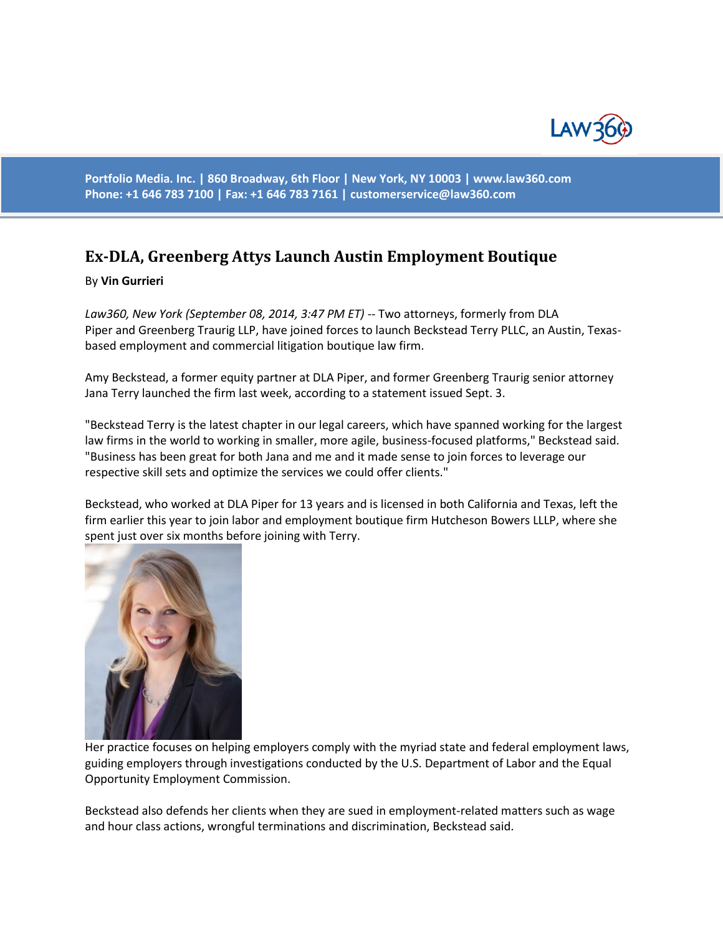

**Portfolio Media. Inc. | 860 Broadway, 6th Floor | New York, NY 10003 | www.law360.com Phone: +1 646 783 7100 | Fax: +1 646 783 7161 | [customerservice@law360.com](mailto:customerservice@law360.com)**

## **Ex-DLA, Greenberg Attys Launch Austin Employment Boutique**

## By **Vin Gurrieri**

*Law360, New York (September 08, 2014, 3:47 PM ET)* -- Two attorneys, formerly from DLA Piper and Greenberg Traurig LLP, have joined forces to launch Beckstead Terry PLLC, an Austin, Texasbased employment and commercial litigation boutique law firm.

Amy Beckstead, a former equity partner at DLA Piper, and former Greenberg Traurig senior attorney Jana Terry launched the firm last week, according to a statement issued Sept. 3.

"Beckstead Terry is the latest chapter in our legal careers, which have spanned working for the largest law firms in the world to working in smaller, more agile, business-focused platforms," Beckstead said. "Business has been great for both Jana and me and it made sense to join forces to leverage our respective skill sets and optimize the services we could offer clients."

Beckstead, who worked at DLA Piper for 13 years and is licensed in both California and Texas, left the firm earlier this year to join labor and employment boutique firm Hutcheson Bowers LLLP, where she spent just over six months before joining with Terry.



Her practice focuses on helping employers comply with the myriad state and federal employment laws, guiding employers through investigations conducted by the U.S. Department of Labor and the Equal Opportunity Employment Commission.

Beckstead also defends her clients when they are sued in employment-related matters such as wage and hour class actions, wrongful terminations and discrimination, Beckstead said.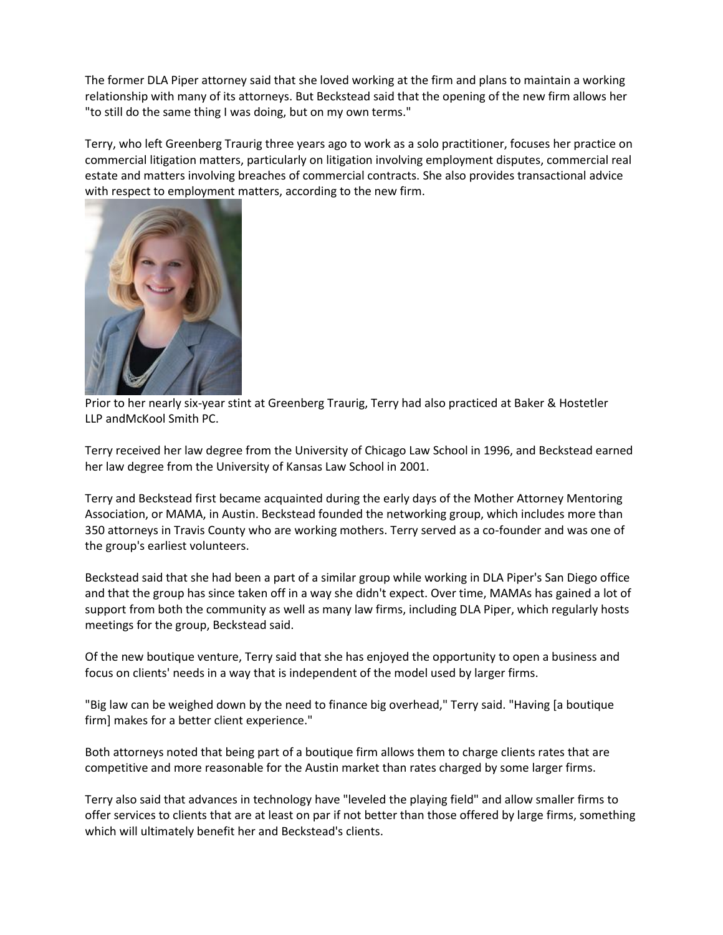The former DLA Piper attorney said that she loved working at the firm and plans to maintain a working relationship with many of its attorneys. But Beckstead said that the opening of the new firm allows her "to still do the same thing I was doing, but on my own terms."

Terry, who left Greenberg Traurig three years ago to work as a solo practitioner, focuses her practice on commercial litigation matters, particularly on litigation involving employment disputes, commercial real estate and matters involving breaches of commercial contracts. She also provides transactional advice with respect to employment matters, according to the new firm.



Prior to her nearly six-year stint at Greenberg Traurig, Terry had also practiced at Baker & Hostetler LLP andMcKool Smith PC.

Terry received her law degree from the University of Chicago Law School in 1996, and Beckstead earned her law degree from the University of Kansas Law School in 2001.

Terry and Beckstead first became acquainted during the early days of the Mother Attorney Mentoring Association, or MAMA, in Austin. Beckstead founded the networking group, which includes more than 350 attorneys in Travis County who are working mothers. Terry served as a co-founder and was one of the group's earliest volunteers.

Beckstead said that she had been a part of a similar group while working in DLA Piper's San Diego office and that the group has since taken off in a way she didn't expect. Over time, MAMAs has gained a lot of support from both the community as well as many law firms, including DLA Piper, which regularly hosts meetings for the group, Beckstead said.

Of the new boutique venture, Terry said that she has enjoyed the opportunity to open a business and focus on clients' needs in a way that is independent of the model used by larger firms.

"Big law can be weighed down by the need to finance big overhead," Terry said. "Having [a boutique firm] makes for a better client experience."

Both attorneys noted that being part of a boutique firm allows them to charge clients rates that are competitive and more reasonable for the Austin market than rates charged by some larger firms.

Terry also said that advances in technology have "leveled the playing field" and allow smaller firms to offer services to clients that are at least on par if not better than those offered by large firms, something which will ultimately benefit her and Beckstead's clients.